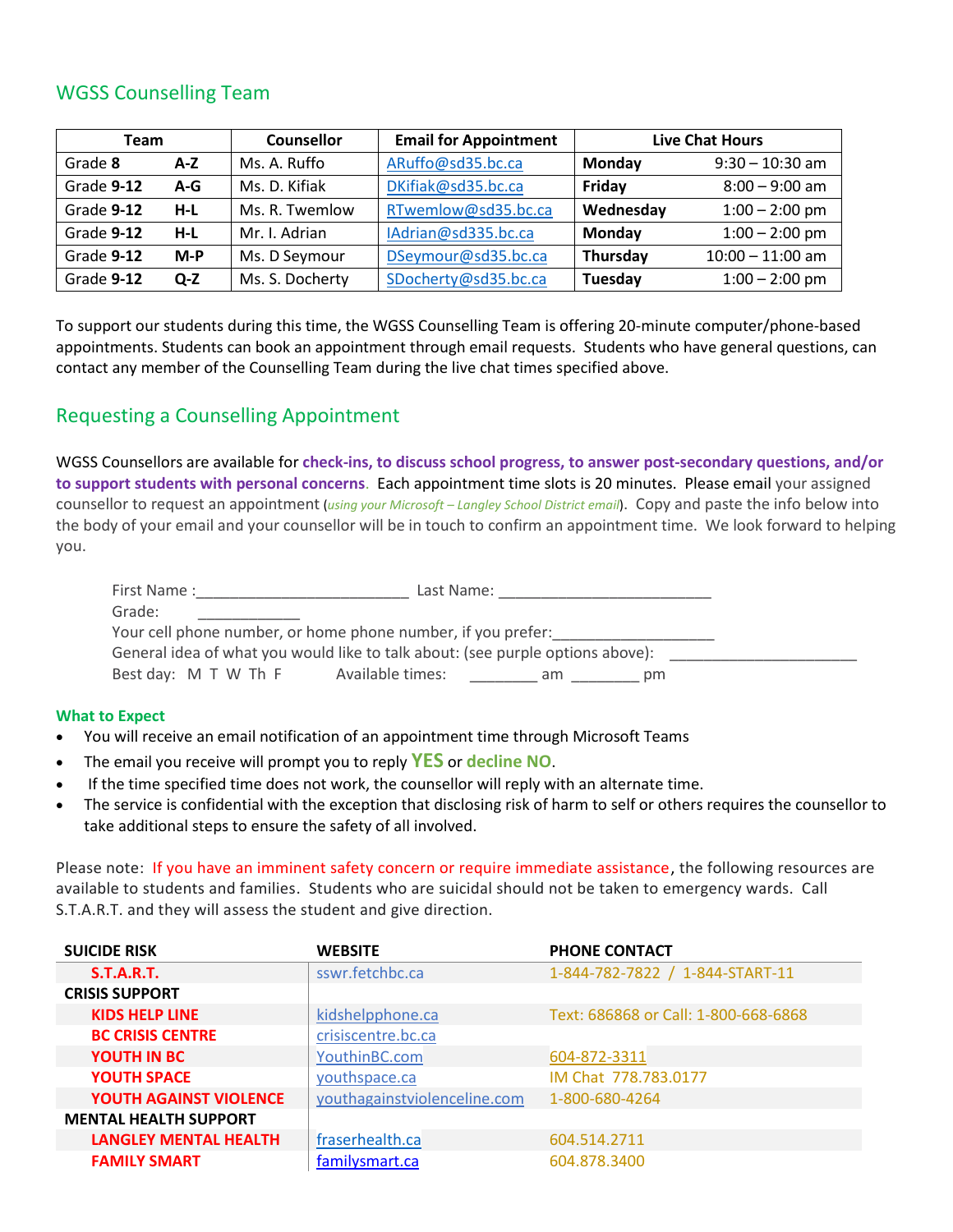## WGSS Counselling Team

| Team       |       | <b>Counsellor</b> | <b>Email for Appointment</b> | <b>Live Chat Hours</b> |                    |
|------------|-------|-------------------|------------------------------|------------------------|--------------------|
| Grade 8    | $A-Z$ | Ms. A. Ruffo      | ARuffo@sd35.bc.ca            | Monday                 | $9:30 - 10:30$ am  |
| Grade 9-12 | $A-G$ | Ms. D. Kifiak     | DKifiak@sd35.bc.ca           | Friday                 | $8:00 - 9:00$ am   |
| Grade 9-12 | $H-L$ | Ms. R. Twemlow    | RTwemlow@sd35.bc.ca          | Wednesday              | $1:00 - 2:00$ pm   |
| Grade 9-12 | $H-L$ | Mr. I. Adrian     | IAdrian@sd335.bc.ca          | Monday                 | $1:00 - 2:00$ pm   |
| Grade 9-12 | $M-P$ | Ms. D Seymour     | DSeymour@sd35.bc.ca          | Thursday               | $10:00 - 11:00$ am |
| Grade 9-12 | $Q-Z$ | Ms. S. Docherty   | SDocherty@sd35.bc.ca         | Tuesday                | $1:00 - 2:00$ pm   |

To support our students during this time, the WGSS Counselling Team is offering 20-minute computer/phone-based appointments. Students can book an appointment through email requests. Students who have general questions, can contact any member of the Counselling Team during the live chat times specified above.

## Requesting a Counselling Appointment

WGSS Counsellors are available for **check-ins, to discuss school progress, to answer post-secondary questions, and/or to support students with personal concerns**. Each appointment time slots is 20 minutes. Please email your assigned counsellor to request an appointment (*using your Microsoft – Langley School District email*). Copy and paste the info below into the body of your email and your counsellor will be in touch to confirm an appointment time. We look forward to helping you.

| First Name:                                                                    | Last Name:                    |  |  |  |  |
|--------------------------------------------------------------------------------|-------------------------------|--|--|--|--|
| Grade:                                                                         |                               |  |  |  |  |
| Your cell phone number, or home phone number, if you prefer:                   |                               |  |  |  |  |
| General idea of what you would like to talk about: (see purple options above): |                               |  |  |  |  |
| Best day: M T W Th F                                                           | Available times:<br>pm<br>am. |  |  |  |  |

## **What to Expect**

- You will receive an email notification of an appointment time through Microsoft Teams
- The email you receive will prompt you to reply **YES** or **decline NO**.
- If the time specified time does not work, the counsellor will reply with an alternate time.
- The service is confidential with the exception that disclosing risk of harm to self or others requires the counsellor to take additional steps to ensure the safety of all involved.

Please note: If you have an imminent safety concern or require immediate assistance, the following resources are available to students and families. Students who are suicidal should not be taken to emergency wards. Call S.T.A.R.T. and they will assess the student and give direction.

| <b>SUICIDE RISK</b>           | <b>WEBSITE</b>               | <b>PHONE CONTACT</b>                 |
|-------------------------------|------------------------------|--------------------------------------|
| S.T.A.R.T.                    | sswr.fetchbc.ca              | 1-844-782-7822 / 1-844-START-11      |
| <b>CRISIS SUPPORT</b>         |                              |                                      |
| <b>KIDS HELP LINE</b>         | kidshelpphone.ca             | Text: 686868 or Call: 1-800-668-6868 |
| <b>BC CRISIS CENTRE</b>       | crisiscentre.bc.ca           |                                      |
| <b>YOUTH IN BC</b>            | YouthinBC.com                | 604-872-3311                         |
| <b>YOUTH SPACE</b>            | youthspace.ca                | IM Chat 778.783.0177                 |
| <b>YOUTH AGAINST VIOLENCE</b> | youthagainstviolenceline.com | 1-800-680-4264                       |
| <b>MENTAL HEALTH SUPPORT</b>  |                              |                                      |
| <b>LANGLEY MENTAL HEALTH</b>  | fraserhealth.ca              | 604.514.2711                         |
| <b>FAMILY SMART</b>           | familysmart.ca               | 604.878.3400                         |